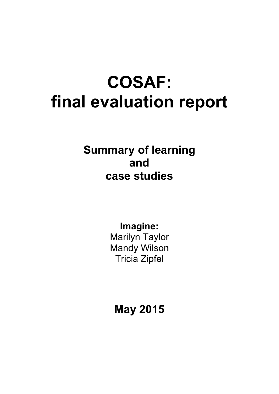# **COSAF: final evaluation report**

**Summary of learning and case studies** 

> **Imagine:** Marilyn Taylor Mandy Wilson Tricia Zipfel

**May 2015**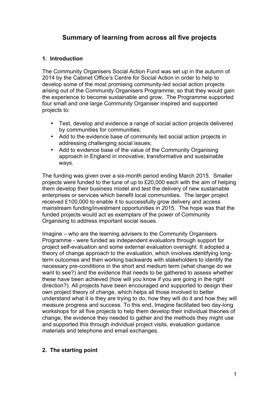# **Summary of learning from across all five projects**

# **1. Introduction**

The Community Organisers Social Action Fund was set up in the autumn of 2014 by the Cabinet Office's Centre for Social Action in order to help to develop some of the most promising community-led social action projects arising out of the Community Organisers Programme, so that they would gain the experience to become sustainable and grow. The Programme supported four small and one large Community Organiser inspired and supported projects to:

- Test, develop and evidence a range of social action projects delivered by communities for communities;
- Add to the evidence base of community led social action projects in addressing challenging social issues;
- Add to evidence base of the value of the Community Organising approach in England in innovative, transformative and sustainable ways.

The funding was given over a six-month period ending March 2015. Smaller projects were funded to the tune of up to £20,000 each with the aim of helping them develop their business model and test the delivery of new sustainable enterprises or services which benefit local communities. The larger project received £100,000 to enable it to successfully grow delivery and access mainstream funding/investment opportunities in 2015. The hope was that the funded projects would act as exemplars of the power of Community Organising to address important social issues.

Imagine – who are the learning advisers to the Community Organisers Programme - were funded as independent evaluators through support for project self-evaluation and some external evaluation oversight. It adopted a theory of change approach to the evaluation, which involves identifying longterm outcomes and then working backwards with stakeholders to identify the necessary pre-conditions in the short and medium term (what change do we want to see?) and the evidence that needs to be gathered to assess whether these have been achieved (how will you know if you are going in the right direction?). All projects have been encouraged and supported to design their own project theory of change, which helps all those involved to better understand what it is they are trying to do, how they will do it and how they will measure progress and success. To this end, Imagine facilitated two day-long workshops for all five projects to help them develop their individual theories of change, the evidence they needed to gather and the methods they might use and supported this through individual project visits, evaluation guidance materials and telephone and email exchanges.

# **2. The starting point**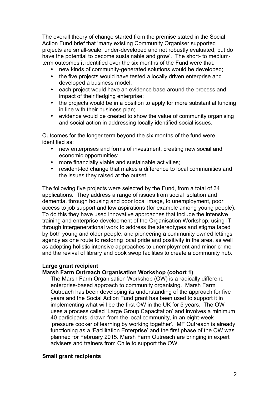The overall theory of change started from the premise stated in the Social Action Fund brief that 'many existing Community Organiser supported projects are small-scale, under-developed and not robustly evaluated, but do have the potential to become sustainable and grow'. The short- to mediumterm outcomes it identified over the six months of the Fund were that:

- new kinds of community-generated solutions would be developed;<br>• the five projects would have tested a locally driven enterprise and
- the five projects would have tested a locally driven enterprise and developed a business model;
- each project would have an evidence base around the process and impact of their fledging enterprise;
- the projects would be in a position to apply for more substantial funding in line with their business plan;
- evidence would be created to show the value of community organising and social action in addressing locally identified social issues.

Outcomes for the longer term beyond the six months of the fund were identified as:

- new enterprises and forms of investment, creating new social and economic opportunities;
- more financially viable and sustainable activities;
- resident-led change that makes a difference to local communities and the issues they raised at the outset.

The following five projects were selected by the Fund, from a total of 34 applications. They address a range of issues from social isolation and dementia, through housing and poor local image, to unemployment, poor access to job support and low aspirations (for example among young people). To do this they have used innovative approaches that include the intensive training and enterprise development of the Organisation Workshop, using IT through intergenerational work to address the stereotypes and stigma faced by both young and older people, and pioneering a community owned lettings agency as one route to restoring local pride and positivity in the area, as well as adopting holistic intensive approaches to unemployment and minor crime and the revival of library and book swop facilities to create a community hub.

#### **Large grant recipient**

#### **Marsh Farm Outreach Organisation Workshop (cohort 1)**

The Marsh Farm Organisation Workshop (OW) is a radically different, enterprise-based approach to community organising. Marsh Farm Outreach has been developing its understanding of the approach for five years and the Social Action Fund grant has been used to support it in implementing what will be the first OW in the UK for 5 years. The OW uses a process called 'Large Group Capacitation' and involves a minimum 40 participants, drawn from the local community, in an eight-week 'pressure cooker of learning by working together'. MF Outreach is already functioning as a 'Facilitation Enterprise' and the first phase of the OW was planned for February 2015. Marsh Farm Outreach are bringing in expert advisers and trainers from Chile to support the OW.

#### **Small grant recipients**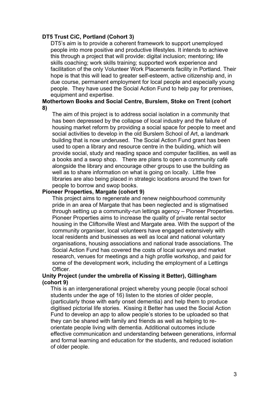#### **DT5 Trust CiC, Portland (Cohort 3)**

DT5's aim is to provide a coherent framework to support unemployed people into more positive and productive lifestyles. It intends to achieve this through a project that will provide: digital inclusion; mentoring; life skills coaching; work skills training; supported work experience and facilitation of the only Volunteer Work Placements facility in Portland. Their hope is that this will lead to greater self-esteem, active citizenship and, in due course, permanent employment for local people and especially young people. They have used the Social Action Fund to help pay for premises, equipment and expertise.

#### **Mothertown Books and Social Centre, Burslem, Stoke on Trent (cohort 8)**

The aim of this project is to address social isolation in a community that has been depressed by the collapse of local industry and the failure of housing market reform by providing a social space for people to meet and social activities to develop in the old Burslem School of Art, a landmark building that is now underused. The Social Action Fund grant has been used to open a library and resource centre in the building, which will provide social, study and reading space and computer facilities, as well as a books and a swop shop. There are plans to open a community café alongside the library and encourage other groups to use the building as well as to share information on what is going on locally. Little free libraries are also being placed in strategic locations around the town for people to borrow and swop books.

#### **Pioneer Properties, Margate (cohort 9)**

This project aims to regenerate and renew neighbourhood community pride in an area of Margate that has been neglected and is stigmatised through setting up a community-run lettings agency – Pioneer Properties. Pioneer Properties aims to increase the quality of private rental sector housing in the Cliftonville West and Margate area. With the support of the community organiser, local volunteers have engaged extensively with local residents and businesses as well as local and national voluntary organisations, housing associations and national trade associations. The Social Action Fund has covered the costs of local surveys and market research, venues for meetings and a high profile workshop, and paid for some of the development work, including the employment of a Lettings **Officer** 

#### **Unity Project (under the umbrella of Kissing it Better), Gillingham (cohort 9)**

This is an intergenerational project whereby young people (local school students under the age of 16) listen to the stories of older people, (particularly those with early onset dementia) and help them to produce digitised pictorial life stories. Kissing it Better has used the Social Action Fund to develop an app to allow people's stories to be uploaded so that they can be shared with family and friends as well as helping to reorientate people living with dementia. Additional outcomes include effective communication and understanding between generations, informal and formal learning and education for the students, and reduced isolation of older people.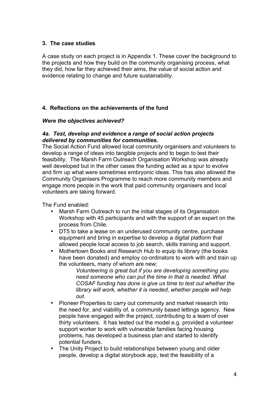# **3. The case studies**

A case study on each project is in Appendix 1. These cover the background to the projects and how they build on the community organising process, what they did, how far they achieved their aims, the value of social action and evidence relating to change and future sustainability.

# **4. Reflections on the achievements of the fund**

# *Were the objectives achieved?*

#### *4a. Test, develop and evidence a range of social action projects delivered by communities for communities.*

The Social Action Fund allowed local community organisers and volunteers to develop a range of ideas into tangible projects and to begin to test their feasibility. The Marsh Farm Outreach Organisation Workshop was already well developed but in the other cases the funding acted as a spur to evolve and firm up what were sometimes embryonic ideas. This has also allowed the Community Organisers Programme to reach more community members and engage more people in the work that paid community organisers and local volunteers are taking forward.

The Fund enabled:

- Marsh Farm Outreach to run the initial stages of its Organisation Workshop with 45 participants and with the support of an expert on the process from Chile.
- DT5 to take a lease on an underused community centre, purchase equipment and bring in expertise to develop a digital platform that allowed people local access to job search, skills training and support.
- Mothertown Books and Research Hub to equip its library (the books have been donated) and employ co-ordinators to work with and train up the volunteers, many of whom are new;

*Volunteering is great but if you are developing something you need someone who can put the time in that is needed. What COSAF funding has done is give us time to test out whether the library will work, whether it is needed, whether people will help out*.

- Pioneer Properties to carry out community and market research into the need for, and viability of, a community based lettings agency. New people have engaged with the project, contributing to a team of over thirty volunteers. It has tested out the model e.g. provided a volunteer support worker to work with vulnerable families facing housing problems, has developed a business plan and started to identify potential funders.
- The Unity Project to build relationships between young and older people, develop a digital storybook app, test the feasibility of a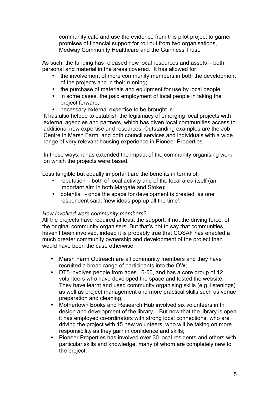community café and use the evidence from this pilot project to garner promises of financial support for roll out from two organisations, Medway Community Healthcare and the Guinness Trust.

As such, the funding has released new local resources and assets – both personal and material in the areas covered. It has allowed for:

- the involvement of more community members in both the development of the projects and in their running;
- the purchase of materials and equipment for use by local people;
- in some cases, the paid employment of local people in taking the project forward;
- necessary external expertise to be brought in.

It has also helped to establish the legitimacy of emerging local projects with external agencies and partners, which has given local communities access to additional new expertise and resources. Outstanding examples are the Job Centre in Marsh Farm, and both council services and individuals with a wide range of very relevant housing experience in Pioneer Properties.

In these ways, it has extended the impact of the community organising work on which the projects were based.

Less tangible but equally important are the benefits in terms of:

- reputation both of local activity and of the local area itself (an important aim in both Margate and Stoke);
- potential once the space for development is created, as one respondent said: 'new ideas pop up all the time'.

# *How involved were community members?*

All the projects have required at least the support, if not the driving force, of the original community organisers. But that's not to say that communities haven't been involved, indeed it is probably true that COSAF has enabled a much greater community ownership and development of the project than would have been the case otherwise:

- Marsh Farm Outreach are all community members and they have recruited a broad range of participants into the OW;
- DT5 involves people from ages 16-50, and has a core group of 12 volunteers who have developed the space and tested the website. They have learnt and used community organising skills (e.g. listenings) as well as project management and more practical skills such as venue preparation and cleaning.
- Mothertown Books and Research Hub involved six volunteers in th design and development of the library.. But now that the library is open it has employed co-ordinators with strong local connections, who are driving the project with 15 new volunteers, who will be taking on more responsibility as they gain in confidence and skills;
- Pioneer Properties has involved over 30 local residents and others with particular skills and knowledge, many of whom are completely new to the project;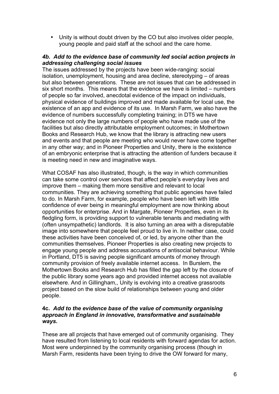• Unity is without doubt driven by the CO but also involves older people, young people and paid staff at the school and the care home.

# *4b. Add to the evidence base of community led social action projects in addressing challenging social issues*

The issues addressed by the projects have been wide-ranging: social isolation, unemployment, housing and area decline, stereotyping – of areas but also between generations. These are not issues that can be addressed in six short months. This means that the evidence we have is limited – numbers of people so far involved, anecdotal evidence of the impact on individuals, physical evidence of buildings improved and made available for local use, the existence of an app and evidence of its use. In Marsh Farm, we also have the evidence of numbers successfully completing training; in DT5 we have evidence not only the large numbers of people who have made use of the facilities but also directly attributable employment outcomes; in Mothertown Books and Research Hub, we know that the library is attracting new users and events and that people are meeting who would never have come together in any other way; and in Pioneer Properties and Unity, there is the existence of an embryonic enterprise that is attracting the attention of funders because it is meeting need in new and imaginative ways.

What COSAF has also illustrated, though, is the way in which communities can take some control over services that affect people's everyday lives and improve them – making them more sensitive and relevant to local communities. They are achieving something that public agencies have failed to do. In Marsh Farm, for example, people who have been left with little confidence of ever being in meaningful employment are now thinking about opportunities for enterprise. And in Margate, Pioneer Properties, even in its fledgling form, is providing support to vulnerable tenants and mediating with (often unsympathetic) landlords. It is also turning an area with a disreputable image into somewhere that people feel proud to live in. In neither case, could these activities have been conceived of, or led, by anyone other than the communities themselves. Pioneer Properties is also creating new projects to engage young people and address accusations of antisocial behaviour. While in Portland, DT5 is saving people significant amounts of money through community provision of freely available internet access. In Burslem, the Mothertown Books and Research Hub has filled the gap left by the closure of the public library some years ago and provided internet access not available elsewhere. And in Gillingham,, Unity is evolving into a creative grassroots project based on the slow build of relationships between young and older people.

# **4c.** *Add to the evidence base of the value of community organising approach in England in innovative, transformative and sustainable ways.*

These are all projects that have emerged out of community organising. They have resulted from listening to local residents with forward agendas for action. Most were underpinned by the community organising process (though in Marsh Farm, residents have been trying to drive the OW forward for many,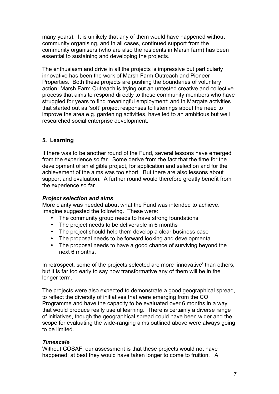many years). It is unlikely that any of them would have happened without community organising, and in all cases, continued support from the community organisers (who are also the residents in Marsh farm) has been essential to sustaining and developing the projects.

The enthusiasm and drive in all the projects is impressive but particularly innovative has been the work of Marsh Farm Outreach and Pioneer Properties. Both these projects are pushing the boundaries of voluntary action: Marsh Farm Outreach is trying out an untested creative and collective process that aims to respond directly to those community members who have struggled for years to find meaningful employment; and in Margate activities that started out as 'soft' project responses to listenings about the need to improve the area e.g. gardening activities, have led to an ambitious but well researched social enterprise development.

# **5. Learning**

If there was to be another round of the Fund, several lessons have emerged from the experience so far. Some derive from the fact that the time for the development of an eligible project, for application and selection and for the achievement of the aims was too short. But there are also lessons about support and evaluation. A further round would therefore greatly benefit from the experience so far.

#### *Project selection and aims*

More clarity was needed about what the Fund was intended to achieve. Imagine suggested the following. These were:

- The community group needs to have strong foundations
- The project needs to be deliverable in 6 months
- The project should help them develop a clear business case<br>• The proposal needs to be forward looking and developmenta
- The proposal needs to be forward looking and developmental<br>• The proposal needs to have a good chance of surviving hevor
- The proposal needs to have a good chance of surviving beyond the next 6 months.

In retrospect, some of the projects selected are more 'innovative' than others, but it is far too early to say how transformative any of them will be in the longer term.

The projects were also expected to demonstrate a good geographical spread, to reflect the diversity of initiatives that were emerging from the CO Programme and have the capacity to be evaluated over 6 months in a way that would produce really useful learning. There is certainly a diverse range of initiatives, though the geographical spread could have been wider and the scope for evaluating the wide-ranging aims outlined above were always going to be limited.

# *Timescale*

Without COSAF, our assessment is that these projects would not have happened; at best they would have taken longer to come to fruition. A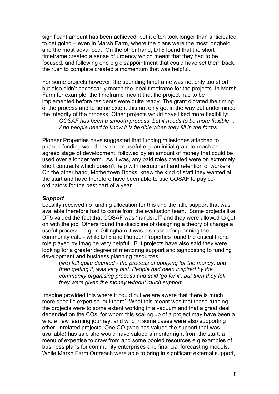significant amount has been achieved, but it often took longer than anticipated to get going – even in Marsh Farm, where the plans were the most longheld and the most advanced. On the other hand, DT5 found that the short timeframe created a sense of urgency which meant that they had to be focused, and following one big disappointment that could have set them back, the rush to complete created a momentum that was helpful.

For some projects however, the spending timeframe was not only too short but also didn't necessarily match the ideal timeframe for the projects. In Marsh Farm for example, the timeframe meant that the project had to be implemented before residents were quite ready. The grant dictated the timing of the process and to some extent this not only got in the way but undermined the integrity of the process. Other projects would have liked more flexibility:

*COSAF has been a smooth process, but it needs to be more flexible… And people need to know it is flexible when they fill in the forms*

Pioneer Properties have suggested that funding milestones attached to phased funding would have been useful e.g. an initial grant to reach an agreed stage of development, followed by an amount of money that could be used over a longer term. As it was, any paid roles created were on extremely short contracts which doesn't help with recruitment and retention of workers. On the other hand, Mothertown Books, knew the kind of staff they wanted at the start and have therefore have been able to use COSAF to pay coordinators for the best part of a year

#### *Support*

Locality received no funding allocation for this and the little support that was available therefore had to come from the evaluation team. Some projects like DT5 valued the fact that COSAF was 'hands-off' and they were allowed to get on with the job. Others found the discipline of designing a theory of change a useful process - e.g. in Gillingham it was also used for planning the community café - while DT5 and Pioneer Properties found the critical friend role played by Imagine very helpful. But projects have also said they were looking for a greater degree of mentoring support and signposting to funding development and business planning resources.

(we) *felt quite daunted - the process of applying for the money, and then getting it, was very fast. People had been inspired by the community organising process and said 'go for it', but then they felt they were given the money without much support.* 

Imagine provided this where it could but we are aware that there is much more specific expertise 'out there'. What this meant was that those running the projects were to some extent working in a vacuum and that a great deal depended on the COs, for whom this scaling up of a project may have been a whole new learning journey, and who in some cases were also supporting other unrelated projects. One CO (who has valued the support that was available) has said she would have valued a mentor right from the start, a menu of expertise to draw from and some pooled resources e.g examples of business plans for community enterprises and financial forecasting models. While Marsh Farm Outreach were able to bring in significant external support,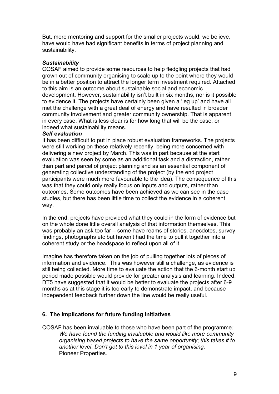But, more mentoring and support for the smaller projects would, we believe, have would have had significant benefits in terms of project planning and sustainability.

# *Sustainability*

COSAF aimed to provide some resources to help fledgling projects that had grown out of community organising to scale up to the point where they would be in a better position to attract the longer term investment required. Attached to this aim is an outcome about sustainable social and economic development. However, sustainability isn't built in six months, nor is it possible to evidence it. The projects have certainly been given a 'leg up' and have all met the challenge with a great deal of energy and have resulted in broader community involvement and greater community ownership. That is apparent in every case. What is less clear is for how long that will be the case, or indeed what sustainability means.

#### *Self evaluation*

It has been difficult to put in place robust evaluation frameworks. The projects were still working on these relatively recently, being more concerned with delivering a new project by March. This was in part because at the start evaluation was seen by some as an additional task and a distraction, rather than part and parcel of project planning and as an essential component of generating collective understanding of the project (by the end project participants were much more favourable to the idea). The consequence of this was that they could only really focus on inputs and outputs, rather than outcomes. Some outcomes have been achieved as we can see in the case studies, but there has been little time to collect the evidence in a coherent way.

In the end, projects have provided what they could in the form of evidence but on the whole done little overall analysis of that information themselves. This was probably an ask too far – some have reams of stories, anecdotes, survey findings, photographs etc but haven't had the time to pull it together into a coherent study or the headspace to reflect upon all of it.

Imagine has therefore taken on the job of pulling together lots of pieces of information and evidence. This was however still a challenge, as evidence is still being collected. More time to evaluate the action that the 6-month start up period made possible would provide for greater analysis and learning. Indeed, DT5 have suggested that it would be better to evaluate the projects after 6-9 months as at this stage it is too early to demonstrate impact, and because independent feedback further down the line would be really useful.

# **6. The implications for future funding initiatives**

COSAF has been invaluable to those who have been part of the programme*: We have found the funding invaluable and would like more community organising based projects to have the same opportunity*; *this takes it to another level*. *Don't get to this level in 1 year of organising*. Pioneer Properties.